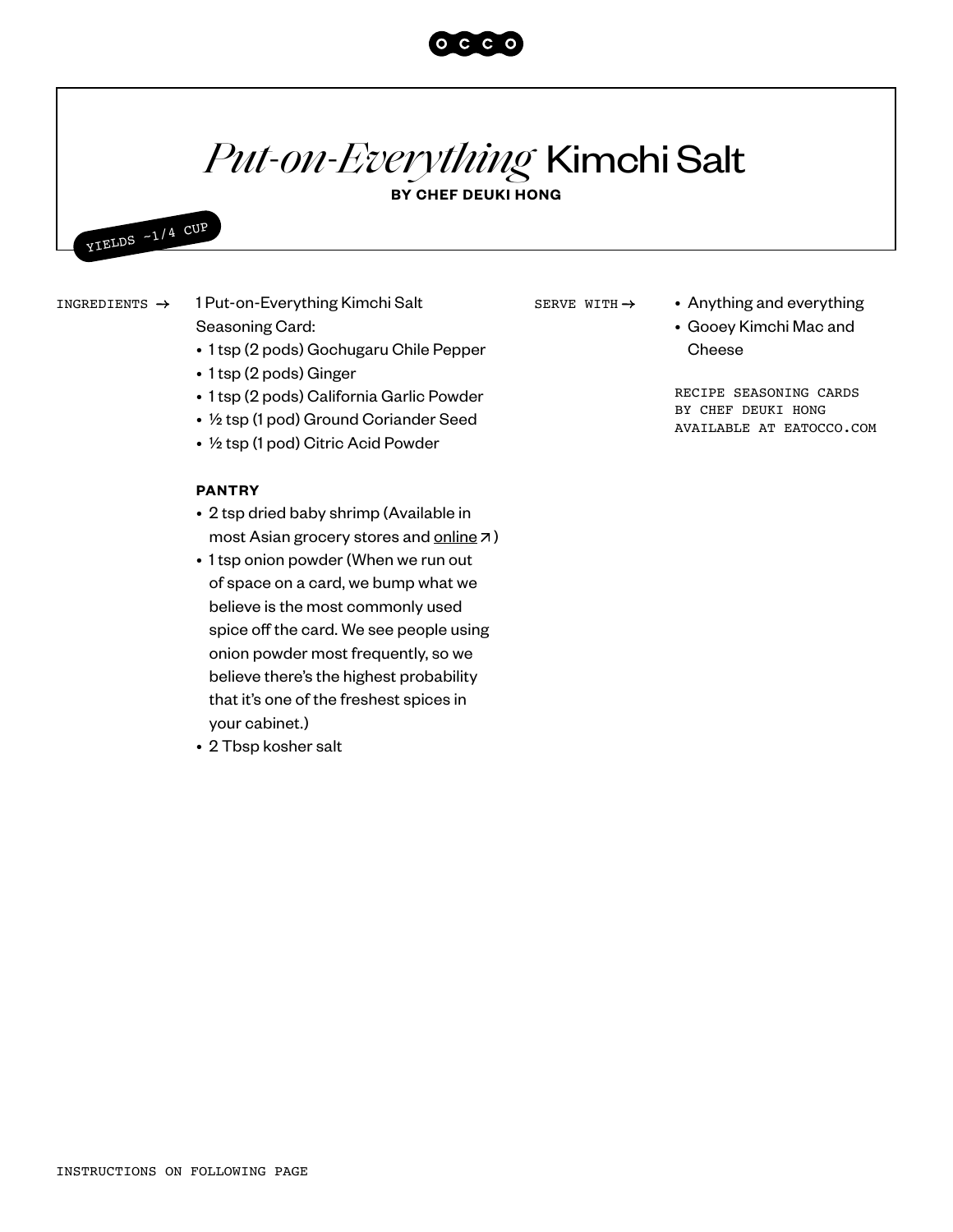## *Put-on-Everything* Kimchi Salt

 $O C C$ 

**BY CHEF DEUKI HONG**



Seasoning Card:

- 1 tsp (2 pods) Gochugaru Chile Pepper
- 1 tsp (2 pods) Ginger
- 1 tsp (2 pods) California Garlic Powder
- ½ tsp (1 pod) Ground Coriander Seed
- ½ tsp (1 pod) Citric Acid Powder

## **PANTRY**

- 2 tsp dried baby shrimp (Available in most Asian grocery stores and [online](https://www.yamibuy.com/en/p/rely-dried-shrimp-3oz/3146102311)  $\neg$ )
- 1 tsp onion powder (When we run out of space on a card, we bump what we believe is the most commonly used spice off the card. We see people using onion powder most frequently, so we believe there's the highest probability that it's one of the freshest spices in your cabinet.)
- 2 Tbsp kosher salt

SERVE WITH  $\rightarrow$ 

- INGREDIENTS  $\rightarrow$  1 Put-on-Everything Kimchi Salt  $\rule{1em}{0.15mm}$  SERVE WITH  $\rightarrow$  Anything and everything
	- Gooey Kimchi Mac and Cheese

RECIPE SEASONING CARDS BY CHEF DEUKI HONG AVAILABLE AT EATOCCO.COM